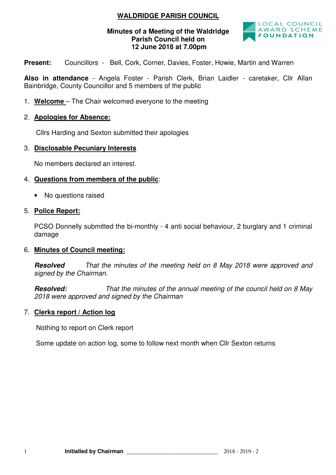## **WALDRIDGE PARISH COUNCIL**

## **Minutes of a Meeting of the Waldridge Parish Council held on 12 June 2018 at 7.00pm**



**Present:** Councillors - Bell, Cork, Corner, Davies, Foster, Howie, Martin and Warren

**Also in attendance** - Angela Foster - Parish Clerk, Brian Laidler - caretaker, Cllr Allan Bainbridge, County Councillor and 5 members of the public

1. **Welcome** – The Chair welcomed everyone to the meeting

## 2. **Apologies for Absence:**

Cllrs Harding and Sexton submitted their apologies

#### 3. **Disclosable Pecuniary Interests**

No members declared an interest.

#### 4. **Questions from members of the public**:

• No questions raised

#### 5. **Police Report:**

PCSO Donnelly submitted the bi-monthly - 4 anti social behaviour, 2 burglary and 1 criminal damage

## 6. **Minutes of Council meeting:**

**Resolved** That the minutes of the meeting held on 8 May 2018 were approved and signed by the Chairman.

**Resolved:** That the minutes of the annual meeting of the council held on 8 May 2018 were approved and signed by the Chairman

#### 7. **Clerks report / Action log**

Nothing to report on Clerk report

Some update on action log, some to follow next month when Cllr Sexton returns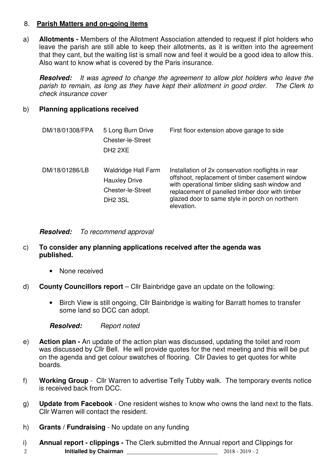## 8. **Parish Matters and on-going items**

a) **Allotments -** Members of the Allotment Association attended to request if plot holders who leave the parish are still able to keep their allotments, as it is written into the agreement that they cant, but the waiting list is small now and feel it would be a good idea to allow this. Also want to know what is covered by the Paris insurance.

**Resolved:** It was agreed to change the agreement to allow plot holders who leave the parish to remain, as long as they have kept their allotment in good order. The Clerk to check insurance cover

## b) **Planning applications received**

| DM/18/01308/FPA | 5 Long Burn Drive<br>Chester-le-Street<br>DH <sub>2</sub> 2XE                             | First floor extension above garage to side                                                                                                                                                                                                                                  |
|-----------------|-------------------------------------------------------------------------------------------|-----------------------------------------------------------------------------------------------------------------------------------------------------------------------------------------------------------------------------------------------------------------------------|
| DM/18/01286/LB  | <b>Waldridge Hall Farm</b><br><b>Hauxley Drive</b><br>Chester-le-Street<br><b>DH2 3SL</b> | Installation of 2x conservation rooflights in rear<br>offshoot, replacement of timber casement window<br>with operational timber sliding sash window and<br>replacement of panelled timber door with timber<br>glazed door to same style in porch on northern<br>elevation. |

**Resolved:** To recommend approval

## c) **To consider any planning applications received after the agenda was published.**

- None received
- d) **County Councillors report** Cllr Bainbridge gave an update on the following:
	- Birch View is still ongoing, Cllr Bainbridge is waiting for Barratt homes to transfer some land so DCC can adopt.

**Resolved:** Report noted

- e) **Action plan** An update of the action plan was discussed, updating the toilet and room was discussed by Cllr Bell. He will provide quotes for the next meeting and this will be put on the agenda and get colour swatches of flooring. Cllr Davies to get quotes for white boards.
- f) **Working Group** Cllr Warren to advertise Telly Tubby walk. The temporary events notice is received back from DCC.
- g) **Update from Facebook**  One resident wishes to know who owns the land next to the flats. Cllr Warren will contact the resident.
- h) **Grants / Fundraising**  No update on any funding
- 2 **Initialled by Chairman** \_\_\_\_\_\_\_\_\_\_\_\_\_\_\_\_\_\_\_\_\_\_\_\_\_\_\_\_\_ 2018 2019 2 i) **Annual report - clippings -** The Clerk submitted the Annual report and Clippings for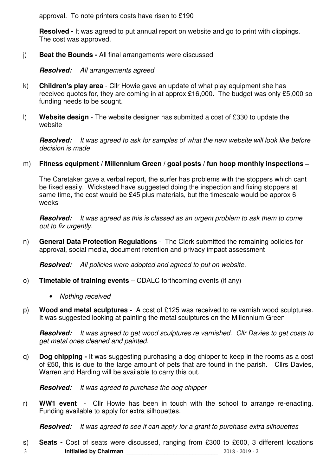approval. To note printers costs have risen to £190

**Resolved -** It was agreed to put annual report on website and go to print with clippings. The cost was approved.

j) **Beat the Bounds -** All final arrangements were discussed

**Resolved:** All arrangements agreed

- k) **Children's play area**  Cllr Howie gave an update of what play equipment she has received quotes for, they are coming in at approx £16,000. The budget was only £5,000 so funding needs to be sought.
- l) **Website design**  The website designer has submitted a cost of £330 to update the website

**Resolved:** It was agreed to ask for samples of what the new website will look like before decision is made

## m) **Fitness equipment / Millennium Green / goal posts / fun hoop monthly inspections –**

The Caretaker gave a verbal report, the surfer has problems with the stoppers which cant be fixed easily. Wicksteed have suggested doing the inspection and fixing stoppers at same time, the cost would be £45 plus materials, but the timescale would be approx 6 weeks

**Resolved:** It was agreed as this is classed as an urgent problem to ask them to come out to fix urgently.

n) **General Data Protection Regulations** - The Clerk submitted the remaining policies for approval, social media, document retention and privacy impact assessment

**Resolved:** All policies were adopted and agreed to put on website.

- o) **Timetable of training events** CDALC forthcoming events (if any)
	- Nothing received
- p) **Wood and metal sculptures** A cost of £125 was received to re varnish wood sculptures. It was suggested looking at painting the metal sculptures on the Millennium Green

**Resolved:** It was agreed to get wood sculptures re varnished. Cllr Davies to get costs to get metal ones cleaned and painted.

q) **Dog chipping -** It was suggesting purchasing a dog chipper to keep in the rooms as a cost of £50, this is due to the large amount of pets that are found in the parish. Cllrs Davies, Warren and Harding will be available to carry this out.

**Resolved:** It was agreed to purchase the dog chipper

r) **WW1 event** - Cllr Howie has been in touch with the school to arrange re-enacting. Funding available to apply for extra silhouettes.

**Resolved:** It was agreed to see if can apply for a grant to purchase extra silhouettes

3 **Initialled by Chairman** \_\_\_\_\_\_\_\_\_\_\_\_\_\_\_\_\_\_\_\_\_\_\_\_\_\_\_\_\_ 2018 - 2019 - 2 s) **Seats -** Cost of seats were discussed, ranging from £300 to £600, 3 different locations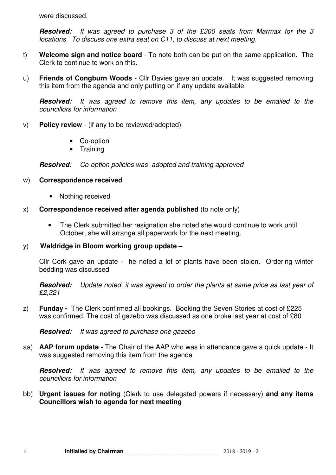were discussed.

**Resolved:** It was agreed to purchase 3 of the £300 seats from Marmax for the 3 locations. To discuss one extra seat on C11, to discuss at next meeting.

- t) **Welcome sign and notice board**  To note both can be put on the same application. The Clerk to continue to work on this.
- u) **Friends of Congburn Woods**  Cllr Davies gave an update. It was suggested removing this item from the agenda and only putting on if any update available.

**Resolved:** It was agreed to remove this item, any updates to be emailed to the councillors for information

- v) **Policy review**  (if any to be reviewed/adopted)
	- Co-option
	- Training

**Resolved**: Co-option policies was adopted and training approved

## w) **Correspondence received**

- Nothing received
- x) **Correspondence received after agenda published** (to note only)
	- The Clerk submitted her resignation she noted she would continue to work until October, she will arrange all paperwork for the next meeting.

## y) **Waldridge in Bloom working group update –**

Cllr Cork gave an update - he noted a lot of plants have been stolen. Ordering winter bedding was discussed

**Resolved:** Update noted, it was agreed to order the plants at same price as last year of £2,321

z) **Funday -** The Clerk confirmed all bookings. Booking the Seven Stories at cost of £225 was confirmed. The cost of gazebo was discussed as one broke last year at cost of £80

**Resolved:** It was agreed to purchase one gazebo

aa) **AAP forum update -** The Chair of the AAP who was in attendance gave a quick update - It was suggested removing this item from the agenda

**Resolved:** It was agreed to remove this item, any updates to be emailed to the councillors for information

bb) **Urgent issues for noting** (Clerk to use delegated powers if necessary) **and any items Councillors wish to agenda for next meeting**